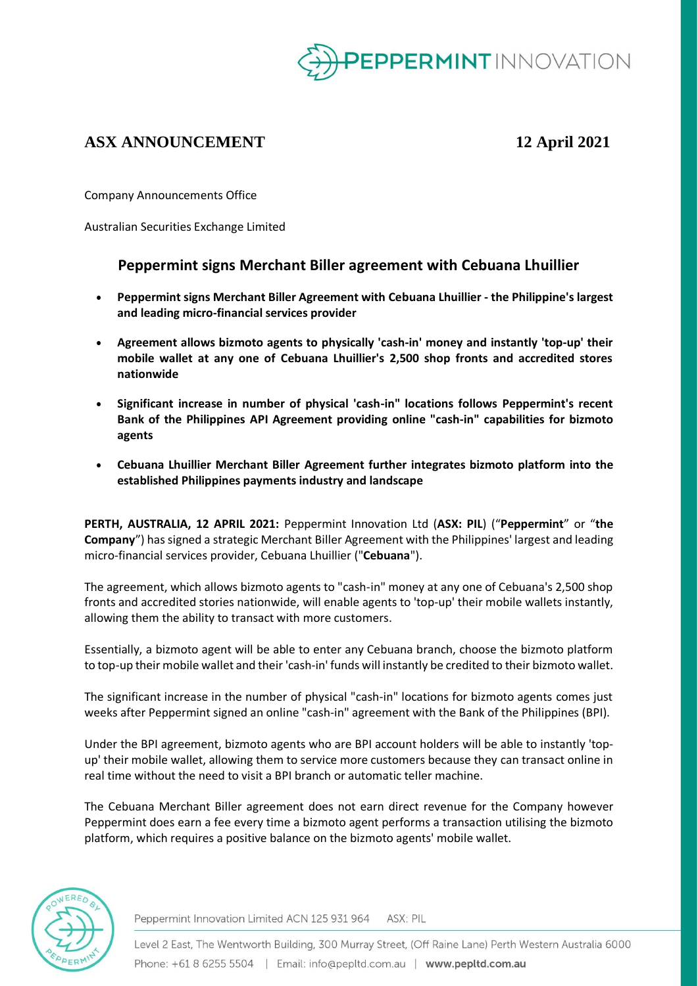

# **ASX ANNOUNCEMENT 12 April 2021**

Company Announcements Office

Australian Securities Exchange Limited

## **Peppermint signs Merchant Biller agreement with Cebuana Lhuillier**

- **Peppermint signs Merchant Biller Agreement with Cebuana Lhuillier - the Philippine's largest and leading micro-financial services provider**
- **Agreement allows bizmoto agents to physically 'cash-in' money and instantly 'top-up' their mobile wallet at any one of Cebuana Lhuillier's 2,500 shop fronts and accredited stores nationwide**
- **Significant increase in number of physical 'cash-in" locations follows Peppermint's recent Bank of the Philippines API Agreement providing online "cash-in" capabilities for bizmoto agents**
- **Cebuana Lhuillier Merchant Biller Agreement further integrates bizmoto platform into the established Philippines payments industry and landscape**

**PERTH, AUSTRALIA, 12 APRIL 2021:** Peppermint Innovation Ltd (**ASX: PIL**) ("**Peppermint**" or "**the Company**") has signed a strategic Merchant Biller Agreement with the Philippines' largest and leading micro-financial services provider, Cebuana Lhuillier ("**Cebuana**").

The agreement, which allows bizmoto agents to "cash-in" money at any one of Cebuana's 2,500 shop fronts and accredited stories nationwide, will enable agents to 'top-up' their mobile wallets instantly, allowing them the ability to transact with more customers.

Essentially, a bizmoto agent will be able to enter any Cebuana branch, choose the bizmoto platform to top-up their mobile wallet and their'cash-in' funds will instantly be credited to their bizmoto wallet.

The significant increase in the number of physical "cash-in" locations for bizmoto agents comes just weeks after Peppermint signed an online "cash-in" agreement with the Bank of the Philippines (BPI).

Under the BPI agreement, bizmoto agents who are BPI account holders will be able to instantly 'topup' their mobile wallet, allowing them to service more customers because they can transact online in real time without the need to visit a BPI branch or automatic teller machine.

The Cebuana Merchant Biller agreement does not earn direct revenue for the Company however Peppermint does earn a fee every time a bizmoto agent performs a transaction utilising the bizmoto platform, which requires a positive balance on the bizmoto agents' mobile wallet.



Peppermint Innovation Limited ACN 125 931 964 ASX: PIL